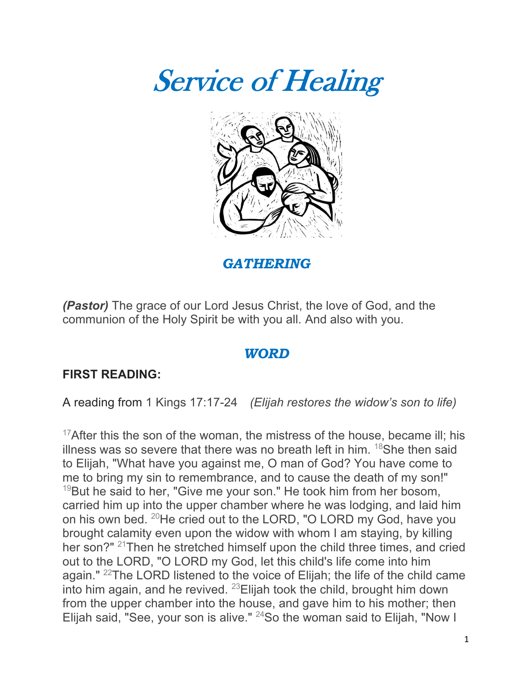



*GATHERING*

*(Pastor)* The grace of our Lord Jesus Christ, the love of God, and the communion of the Holy Spirit be with you all. And also with you.

### *WORD*

### **FIRST READING:**

A reading from 1 Kings 17:17-24 *(Elijah restores the widow's son to life)*

 $17$ After this the son of the woman, the mistress of the house, became ill; his illness was so severe that there was no breath left in him.  $18$ She then said to Elijah, "What have you against me, O man of God? You have come to me to bring my sin to remembrance, and to cause the death of my son!"  $19$ But he said to her, "Give me your son." He took him from her bosom, carried him up into the upper chamber where he was lodging, and laid him on his own bed. 20He cried out to the LORD, "O LORD my God, have you brought calamity even upon the widow with whom I am staying, by killing her son?" <sup>21</sup>Then he stretched himself upon the child three times, and cried out to the LORD, "O LORD my God, let this child's life come into him again." 22The LORD listened to the voice of Elijah; the life of the child came into him again, and he revived. 23Elijah took the child, brought him down from the upper chamber into the house, and gave him to his mother; then Elijah said, "See, your son is alive."  $24$ So the woman said to Elijah, "Now I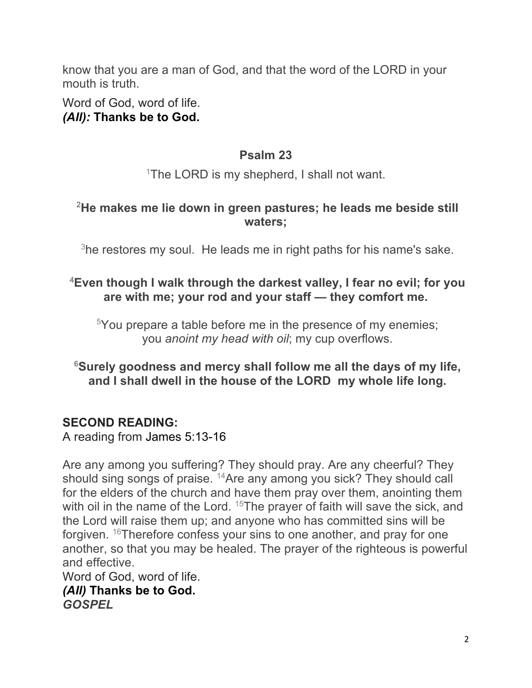know that you are a man of God, and that the word of the LORD in your mouth is truth.

Word of God, word of life. *(All):* **Thanks be to God.**

### **Psalm 23**

<sup>1</sup>The LORD is my shepherd, I shall not want.

# **2 He makes me lie down in green pastures; he leads me beside still waters;**

 $3$ he restores my soul. He leads me in right paths for his name's sake.

### **4 Even though I walk through the darkest valley, I fear no evil; for you are with me; your rod and your staff — they comfort me.**

 $5$ You prepare a table before me in the presence of my enemies; you *anoint my head with oil*; my cup overflows.

# **6 Surely goodness and mercy shall follow me all the days of my life, and I shall dwell in the house of the LORD my whole life long.**

# **SECOND READING:**

A reading from James 5:13-16

Are any among you suffering? They should pray. Are any cheerful? They should sing songs of praise. <sup>14</sup>Are any among you sick? They should call for the elders of the church and have them pray over them, anointing them with oil in the name of the Lord. <sup>15</sup>The prayer of faith will save the sick, and the Lord will raise them up; and anyone who has committed sins will be forgiven. 16Therefore confess your sins to one another, and pray for one another, so that you may be healed. The prayer of the righteous is powerful and effective.

Word of God, word of life. *(All)* **Thanks be to God.** *GOSPEL*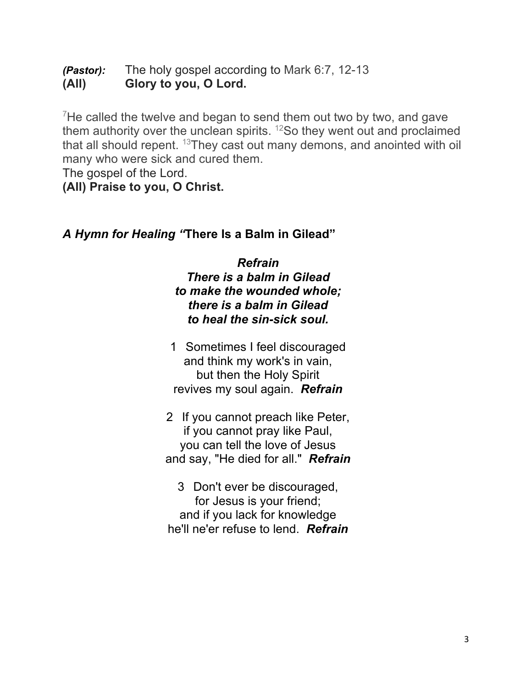*(Pastor):* The holy gospel according to Mark 6:7, 12-13 **(All) Glory to you, O Lord.**

 $7$ He called the twelve and began to send them out two by two, and gave them authority over the unclean spirits.  $12$ So they went out and proclaimed that all should repent.  $13$ They cast out many demons, and anointed with oil many who were sick and cured them.

The gospel of the Lord.

**(All) Praise to you, O Christ.**

# *A Hymn for Healing "***There Is a Balm in Gilead"**

*Refrain There is a balm in Gilead to make the wounded whole; there is a balm in Gilead to heal the sin-sick soul.*

- 1 Sometimes I feel discouraged and think my work's in vain, but then the Holy Spirit revives my soul again. *Refrain*
- 2 If you cannot preach like Peter, if you cannot pray like Paul, you can tell the love of Jesus and say, "He died for all." *Refrain*
- 3 Don't ever be discouraged, for Jesus is your friend; and if you lack for knowledge he'll ne'er refuse to lend. *Refrain*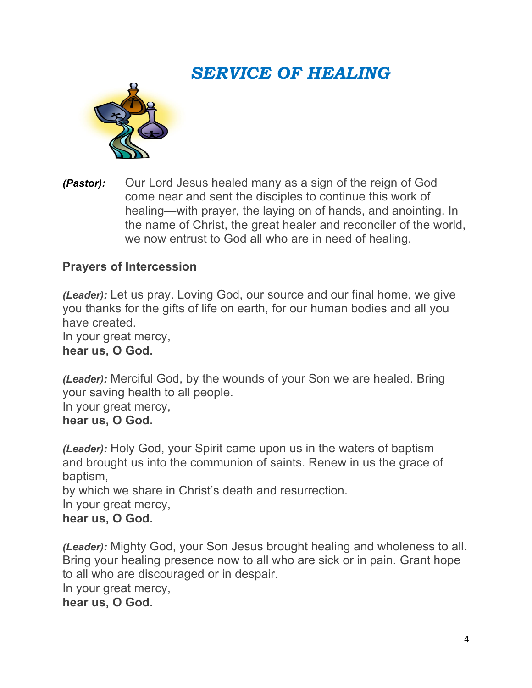# *SERVICE OF HEALING*



*(Pastor):* Our Lord Jesus healed many as a sign of the reign of God come near and sent the disciples to continue this work of healing—with prayer, the laying on of hands, and anointing. In the name of Christ, the great healer and reconciler of the world, we now entrust to God all who are in need of healing.

# **Prayers of Intercession**

*(Leader):* Let us pray. Loving God, our source and our final home, we give you thanks for the gifts of life on earth, for our human bodies and all you have created.

In your great mercy, **hear us, O God.**

*(Leader):* Merciful God, by the wounds of your Son we are healed. Bring your saving health to all people.

In your great mercy,

#### **hear us, O God.**

*(Leader):* Holy God, your Spirit came upon us in the waters of baptism and brought us into the communion of saints. Renew in us the grace of baptism,

by which we share in Christ's death and resurrection.

In your great mercy,

### **hear us, O God.**

*(Leader):* Mighty God, your Son Jesus brought healing and wholeness to all. Bring your healing presence now to all who are sick or in pain. Grant hope to all who are discouraged or in despair. In your great mercy,

**hear us, O God.**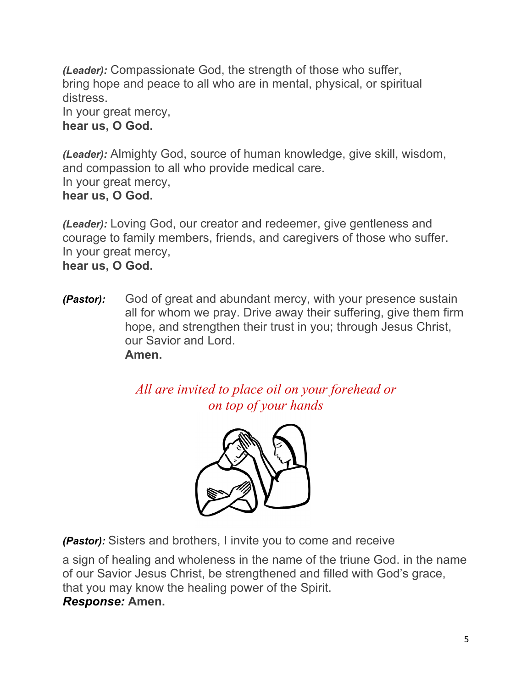*(Leader):* Compassionate God, the strength of those who suffer, bring hope and peace to all who are in mental, physical, or spiritual distress.

In your great mercy, **hear us, O God.**

*(Leader):* Almighty God, source of human knowledge, give skill, wisdom, and compassion to all who provide medical care. In your great mercy, **hear us, O God.**

*(Leader):* Loving God, our creator and redeemer, give gentleness and courage to family members, friends, and caregivers of those who suffer. In your great mercy,

**hear us, O God.**

*(Pastor):* God of great and abundant mercy, with your presence sustain all for whom we pray. Drive away their suffering, give them firm hope, and strengthen their trust in you; through Jesus Christ, our Savior and Lord. **Amen.**

> *All are invited to place oil on your forehead or on top of your hands*



*(Pastor):* Sisters and brothers, I invite you to come and receive

a sign of healing and wholeness in the name of the triune God. in the name of our Savior Jesus Christ, be strengthened and filled with God's grace, that you may know the healing power of the Spirit. *Response:* **Amen.**